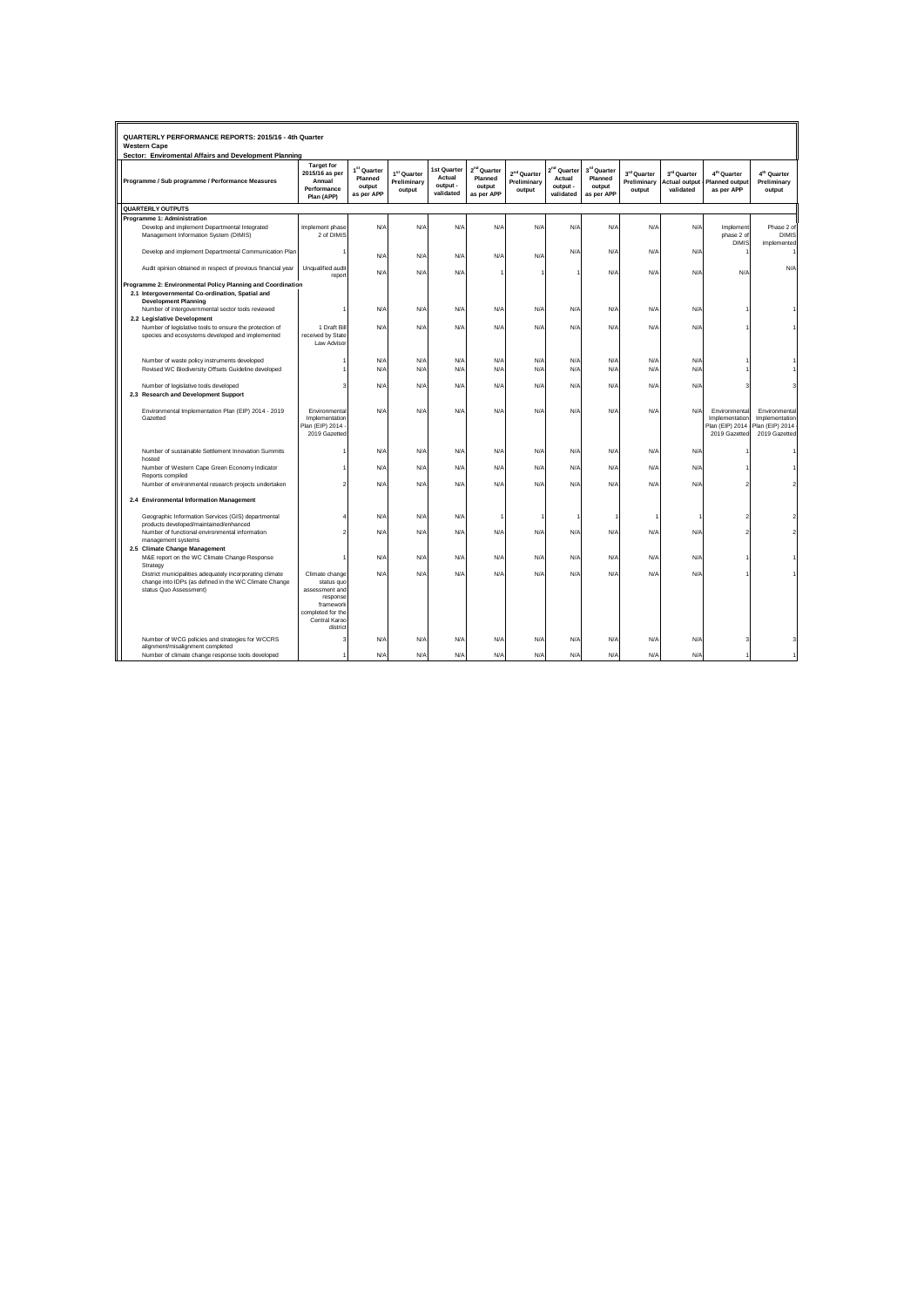| QUARTERLY PERFORMANCE REPORTS: 2015/16 - 4th Quarter<br><b>Western Cape</b><br>Sector: Enviromental Affairs and Development Planning           |                                                                                                                           |                                                            |                                                  |                                                |                                                            |                                                  |                                                            |                                                |                                      |                                                  |                                                                     |                                                                     |
|------------------------------------------------------------------------------------------------------------------------------------------------|---------------------------------------------------------------------------------------------------------------------------|------------------------------------------------------------|--------------------------------------------------|------------------------------------------------|------------------------------------------------------------|--------------------------------------------------|------------------------------------------------------------|------------------------------------------------|--------------------------------------|--------------------------------------------------|---------------------------------------------------------------------|---------------------------------------------------------------------|
| Programme / Sub programme / Performance Measures                                                                                               | <b>Target for</b><br>2015/16 as per<br>Annual<br>Performance<br>Plan (APP)                                                | 1 <sup>st</sup> Quarter<br>Planned<br>output<br>as per APP | 1 <sup>st</sup> Quarter<br>Preliminary<br>output | 1st Quarter<br>Actual<br>output -<br>validated | 2 <sup>nd</sup> Quarter<br>Planned<br>output<br>as per APP | 2 <sup>nd</sup> Quarter<br>Preliminary<br>output | 2 <sup>nd</sup> Quarter<br>Actual<br>output -<br>validated | 3rd Quarter<br>Planned<br>output<br>as per APP | 3rd Quarter<br>Preliminary<br>output | 3rd Quarter<br><b>Actual output</b><br>validated | 4 <sup>th</sup> Quarter<br><b>Planned output</b><br>as per APP      | 4 <sup>th</sup> Quarter<br>Preliminary<br>output                    |
| <b>QUARTERLY OUTPUTS</b>                                                                                                                       |                                                                                                                           |                                                            |                                                  |                                                |                                                            |                                                  |                                                            |                                                |                                      |                                                  |                                                                     |                                                                     |
| Programme 1: Administration                                                                                                                    |                                                                                                                           |                                                            |                                                  |                                                |                                                            |                                                  |                                                            |                                                |                                      |                                                  |                                                                     |                                                                     |
| Develop and implement Departmental Integrated<br>Management Information System (DIMIS)                                                         | Implement phase<br>2 of DIMIS                                                                                             | N/A                                                        | N/A                                              | N/A                                            | N/A                                                        | N/A                                              | N/A                                                        | N/A                                            | N/A                                  | N/A                                              | Implement<br>phase 2 of<br><b>DIMIS</b>                             | Phase 2 of<br><b>DIMIS</b><br>implemented                           |
| Develop and implement Departmental Communication Plan                                                                                          |                                                                                                                           | N/F                                                        | N/A                                              | N/A                                            | N/A                                                        | N/A                                              | N/A                                                        | N/A                                            | N/A                                  | N/A                                              |                                                                     |                                                                     |
| Audit opinion obtained in respect of previous financial year                                                                                   | Unqualified audit<br>report                                                                                               | N/A                                                        | N/A                                              | N/A                                            |                                                            |                                                  |                                                            | N/A                                            | N/A                                  | N/A                                              | N/A                                                                 | N/A                                                                 |
| Programme 2: Environmental Policy Planning and Coordination<br>2.1 Intergovernmental Co-ordination, Spatial and<br><b>Development Planning</b> |                                                                                                                           |                                                            |                                                  |                                                |                                                            |                                                  |                                                            |                                                |                                      |                                                  |                                                                     |                                                                     |
| Number of intergovernmental sector tools reviewed<br>2.2 Legislative Development                                                               |                                                                                                                           | N/f                                                        | N/A                                              | N/A                                            | N/A                                                        | N/A                                              | N/A                                                        | N/A                                            | N/A                                  | N/A                                              |                                                                     |                                                                     |
| Number of legislative tools to ensure the protection of<br>species and ecosystems developed and implemented                                    | 1 Draft Bill<br>received by State<br>Law Advisor                                                                          | N/A                                                        | N/A                                              | N/A                                            | N/A                                                        | N/A                                              | N/A                                                        | N/A                                            | N/A                                  | N/A                                              |                                                                     |                                                                     |
| Number of waste policy instruments developed                                                                                                   |                                                                                                                           | N/f                                                        | N/A                                              | N/A                                            | N/F                                                        | N/A                                              | N/A                                                        | N/A                                            | N/A                                  | <b>N/A</b>                                       |                                                                     |                                                                     |
| Revised WC Biodiversity Offsets Guideline developed                                                                                            |                                                                                                                           | N/F                                                        | N/A                                              | N/A                                            | N/F                                                        | N/A                                              | N/A                                                        | N/A                                            | N/A                                  | N/A                                              |                                                                     |                                                                     |
|                                                                                                                                                |                                                                                                                           |                                                            |                                                  |                                                |                                                            |                                                  |                                                            |                                                |                                      |                                                  |                                                                     |                                                                     |
| Number of legislative tools developed                                                                                                          |                                                                                                                           | N/F                                                        | N/A                                              | N/A                                            | N/A                                                        | N/A                                              | N/A                                                        | N/A                                            | N/A                                  | N/A                                              |                                                                     |                                                                     |
| 2.3 Research and Development Support                                                                                                           |                                                                                                                           |                                                            |                                                  |                                                |                                                            |                                                  |                                                            |                                                |                                      |                                                  |                                                                     |                                                                     |
| Environmental Implementation Plan (EIP) 2014 - 2019<br>Gazetted                                                                                | Environmental<br>Implementation<br>Plan (EIP) 2014<br>2019 Gazetted                                                       | N/F                                                        | N/A                                              | N/A                                            | N/A                                                        | N/A                                              | N/A                                                        | N/A                                            | N/A                                  | N/A                                              | Environmental<br>Implementation<br>Plan (EIP) 2014<br>2019 Gazetted | Environmental<br>Implementation<br>Plan (EIP) 2014<br>2019 Gazetted |
| Number of sustainable Settlement Innovation Summits<br>hosted                                                                                  |                                                                                                                           | N/A                                                        | N/A                                              | N/A                                            | N/A                                                        | N/A                                              | N/A                                                        | N/A                                            | N/A                                  | N/A                                              |                                                                     |                                                                     |
| Number of Western Cape Green Economy Indicator<br>Reports compiled                                                                             |                                                                                                                           | N/A                                                        | N/A                                              | N/A                                            | N/A                                                        | N/A                                              | N/A                                                        | <b>N/A</b>                                     | N/A                                  | N/A                                              |                                                                     |                                                                     |
| Number of environmental research projects undertaken                                                                                           |                                                                                                                           | N/A                                                        | N/A                                              | N/A                                            | N/A                                                        | N/A                                              | N/A                                                        | N/A                                            | N/A                                  | N/A                                              |                                                                     |                                                                     |
| 2.4 Environmental Information Management                                                                                                       |                                                                                                                           |                                                            |                                                  |                                                |                                                            |                                                  |                                                            |                                                |                                      |                                                  |                                                                     |                                                                     |
| Geographic Information Services (GIS) departmental<br>products developed/maintained/enhanced                                                   |                                                                                                                           | N/F                                                        | N/A                                              | N/A                                            |                                                            |                                                  |                                                            |                                                |                                      |                                                  |                                                                     |                                                                     |
| Number of functional environmental information<br>management systems                                                                           |                                                                                                                           | N/A                                                        | N/A                                              | N/A                                            | N/A                                                        | N/A                                              | N/A                                                        | N/A                                            | N/A                                  | N/A                                              |                                                                     |                                                                     |
| 2.5 Climate Change Management                                                                                                                  |                                                                                                                           |                                                            |                                                  |                                                |                                                            |                                                  |                                                            |                                                |                                      |                                                  |                                                                     |                                                                     |
| M&E report on the WC Climate Change Response<br>Strategy                                                                                       |                                                                                                                           | N/F                                                        | N/A                                              | N/A                                            | N/A                                                        | N/A                                              | N/A                                                        | N/A                                            | N/A                                  | N/A                                              |                                                                     |                                                                     |
| District municipalities adequately incorporating climate<br>change into IDPs (as defined in the WC Climate Change<br>status Quo Assessment)    | Climate change<br>status quo<br>assessment and<br>response<br>framework<br>completed for the<br>Central Karoo<br>district | N/A                                                        | N/A                                              | N/A                                            | N/A                                                        | N/A                                              | N/A                                                        | N/A                                            | N/A                                  | N/A                                              |                                                                     |                                                                     |
| Number of WCG policies and strategies for WCCRS<br>alignment/misalignment completed                                                            |                                                                                                                           | N/F                                                        | N/A                                              | N/A                                            | N/A                                                        | N/A                                              | N/A                                                        | $N/\rho$                                       | N/A                                  | N/A                                              |                                                                     |                                                                     |
| Number of climate change response tools developed                                                                                              |                                                                                                                           | N/A                                                        | N/A                                              | N/A                                            | N/A                                                        | N/A                                              | N/A                                                        | $N/\rho$                                       | N/A                                  | N/A                                              |                                                                     | $\overline{1}$                                                      |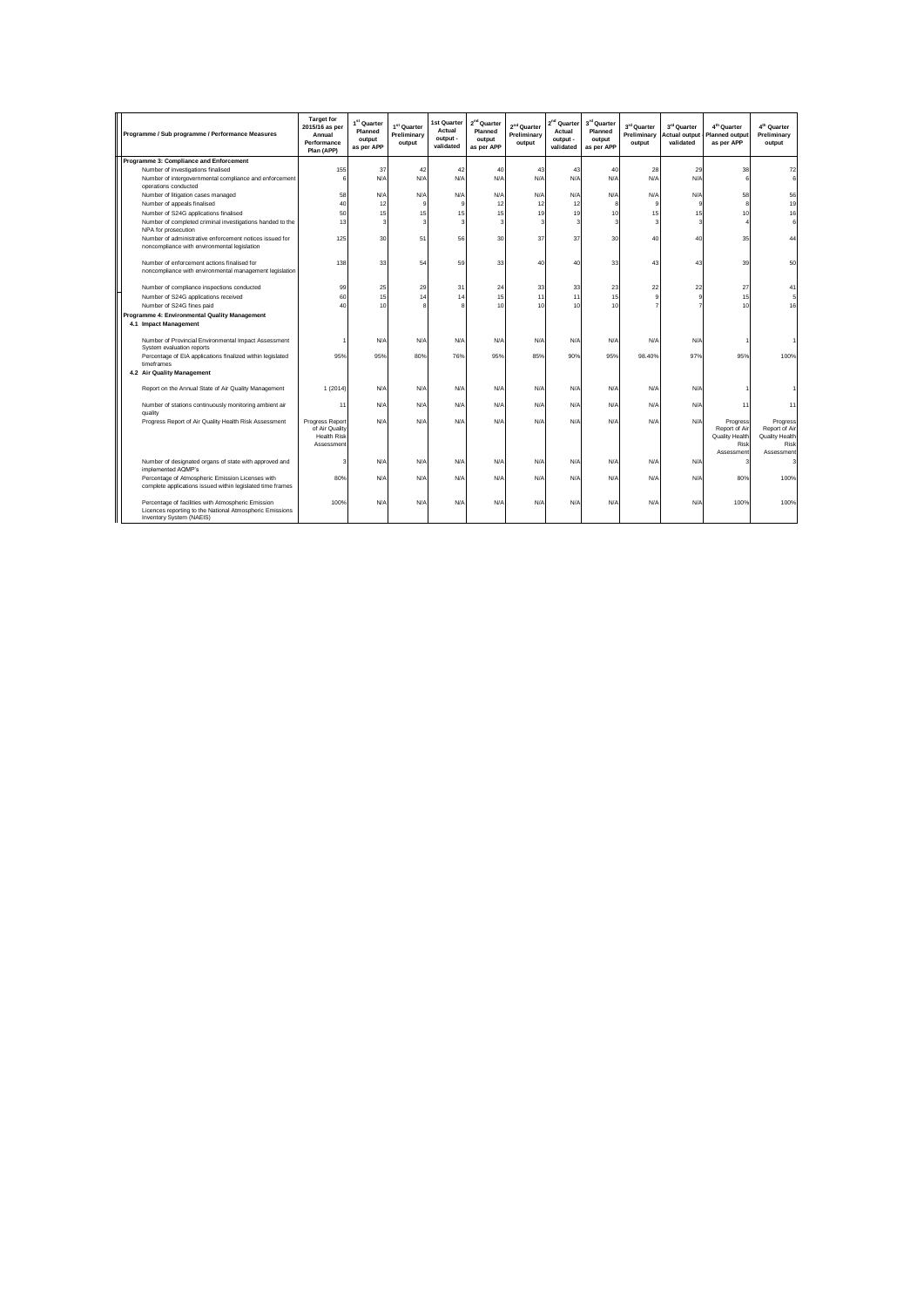| Programme / Sub programme / Performance Measures                                                                                           | <b>Target for</b><br>2015/16 as per<br>Annual<br>Performance<br>Plan (APP) | 1 <sup>st</sup> Quarter<br>Planned<br>output<br>as per APP | 1st Quarter<br>Preliminary<br>output | 1st Quarter<br>Actual<br>output -<br>validated | 2 <sup>nd</sup> Quarter<br>Planned<br>output<br>as per APP | $2nd$ Quarter<br>Preliminary<br>output | 2 <sup>nd</sup> Quarter<br>Actual<br>output -<br>validated | 3rd Quarter<br>Planned<br>output<br>as per APP | 3rd Quarter<br>Preliminary<br>output | 3rd Quarter<br><b>Actual output</b><br>validated | 4 <sup>th</sup> Quarter<br><b>Planned output</b><br>as per APP    | 4 <sup>th</sup> Quarter<br>Preliminary<br>output                  |
|--------------------------------------------------------------------------------------------------------------------------------------------|----------------------------------------------------------------------------|------------------------------------------------------------|--------------------------------------|------------------------------------------------|------------------------------------------------------------|----------------------------------------|------------------------------------------------------------|------------------------------------------------|--------------------------------------|--------------------------------------------------|-------------------------------------------------------------------|-------------------------------------------------------------------|
| Programme 3: Compliance and Enforcement                                                                                                    |                                                                            |                                                            |                                      |                                                |                                                            |                                        |                                                            |                                                |                                      |                                                  |                                                                   |                                                                   |
| Number of investigations finalised                                                                                                         | 155                                                                        | 37                                                         | 42                                   | 42                                             | 40                                                         | 43                                     | 43                                                         | 40                                             | 28                                   | 29                                               | 38                                                                | 72                                                                |
| Number of intergovernmental compliance and enforcement<br>operations conducted                                                             | 6                                                                          | N/A                                                        | N/A                                  | N/A                                            | N/A                                                        | N/A                                    | N/A                                                        | N/A                                            | N/A                                  | N/A                                              | 6                                                                 | 6                                                                 |
| Number of litigation cases managed                                                                                                         | 58                                                                         | N/A                                                        | N/A                                  | N/A                                            | N/A                                                        | N/A                                    | N/A                                                        | N/A                                            | N/A                                  | N/A                                              | 58                                                                | 56                                                                |
| Number of appeals finalised                                                                                                                | 40                                                                         | 12                                                         | $\circ$                              | a                                              | 12                                                         | 12                                     | 12                                                         |                                                | a                                    | 9                                                | 8                                                                 | 19                                                                |
| Number of S24G applications finalised                                                                                                      | 50                                                                         | 15                                                         | 15                                   | 15                                             | 15                                                         | 19                                     | 19                                                         | 10                                             | 15                                   | 15                                               | 10                                                                | 16                                                                |
| Number of completed criminal investigations handed to the<br>NPA for prosecution                                                           | 13                                                                         | 3                                                          | ٩                                    | 3                                              | 3                                                          | 2                                      | 3                                                          |                                                | ٩                                    | 3                                                |                                                                   | $6 \overline{6}$                                                  |
| Number of administrative enforcement notices issued for<br>noncompliance with environmental legislation                                    | 125                                                                        | 30                                                         | 51                                   | 56                                             | 30                                                         | 37                                     | 37                                                         | 30                                             | 40                                   | 40                                               | 35                                                                | 44                                                                |
| Number of enforcement actions finalised for<br>noncompliance with environmental management legislation                                     | 138                                                                        | 33                                                         | 54                                   | 59                                             | 33                                                         | 40                                     | 40                                                         | 33                                             | 43                                   | 43                                               | 39                                                                | 50                                                                |
| Number of compliance inspections conducted                                                                                                 | 99                                                                         | 25                                                         | 29                                   | 31                                             | 24                                                         | 33                                     | 33                                                         | 23                                             | 22                                   | 22                                               | 27                                                                | 41                                                                |
| Number of S24G applications received                                                                                                       | 60                                                                         | 15                                                         | 14                                   | 14                                             | 15                                                         | 11                                     | 11                                                         | 15                                             | $\alpha$                             | 9                                                | 15                                                                | 5                                                                 |
| Number of S24G fines paid                                                                                                                  | 40                                                                         | 10                                                         |                                      | R                                              | 10                                                         | 10                                     | 10                                                         | 10                                             |                                      |                                                  | 10                                                                | 16                                                                |
| Programme 4: Environmental Quality Management                                                                                              |                                                                            |                                                            |                                      |                                                |                                                            |                                        |                                                            |                                                |                                      |                                                  |                                                                   |                                                                   |
| 4.1 Impact Management                                                                                                                      |                                                                            |                                                            |                                      |                                                |                                                            |                                        |                                                            |                                                |                                      |                                                  |                                                                   |                                                                   |
|                                                                                                                                            |                                                                            |                                                            |                                      |                                                |                                                            |                                        |                                                            |                                                |                                      |                                                  |                                                                   |                                                                   |
| Number of Provincial Environmental Impact Assessment<br>System evaluation reports                                                          |                                                                            | N/A                                                        | N/A                                  | N/A                                            | N/A                                                        | <b>N/A</b>                             | N/A                                                        | N/P                                            | N/A                                  | <b>N/A</b>                                       |                                                                   |                                                                   |
| Percentage of EIA applications finalized within legislated<br>timeframes                                                                   | 95%                                                                        | 95%                                                        | 80%                                  | 76%                                            | 95%                                                        | 85%                                    | 90%                                                        | 95%                                            | 98.40%                               | 97%                                              | 95%                                                               | 100%                                                              |
| 4.2 Air Quality Management                                                                                                                 |                                                                            |                                                            |                                      |                                                |                                                            |                                        |                                                            |                                                |                                      |                                                  |                                                                   |                                                                   |
| Report on the Annual State of Air Quality Management                                                                                       | 1(2014)                                                                    | N/A                                                        | N/A                                  | N/A                                            | N/A                                                        | N/A                                    | N/A                                                        | N/A                                            | N/A                                  | N/A                                              |                                                                   |                                                                   |
| Number of stations continuously monitoring ambient air<br>quality                                                                          | 11                                                                         | N/A                                                        | N/A                                  | N/A                                            | N/A                                                        | N/A                                    | N/A                                                        | N/A                                            | N/A                                  | N/A                                              | 11                                                                | 11                                                                |
| Progress Report of Air Quality Health Risk Assessment                                                                                      | Progress Report<br>of Air Quality<br><b>Health Risk</b><br>Assessment      | N/A                                                        | N/A                                  | N/A                                            | N/A                                                        | N/A                                    | N/A                                                        | N/A                                            | N/A                                  | N/A                                              | Progress<br>Report of Air<br>Quality Health<br>Risk<br>Assessment | Progress<br>Report of Air<br>Quality Health<br>Risk<br>Assessment |
| Number of designated organs of state with approved and<br>implemented AQMP's                                                               | 3                                                                          | N/A                                                        | N/A                                  | N/A                                            | N/A                                                        | N/A                                    | N/A                                                        | N/A                                            | N/A                                  | N/A                                              |                                                                   | ٩                                                                 |
| Percentage of Atmospheric Emission Licenses with<br>complete applications issued within legislated time frames                             | 80%                                                                        | N/A                                                        | N/A                                  | N/A                                            | N/A                                                        | N/A                                    | N/A                                                        | N/A                                            | N/A                                  | <b>N/A</b>                                       | 80%                                                               | 100%                                                              |
| Percentage of facilities with Atmospheric Emission<br>Licences reporting to the National Atmospheric Emissions<br>Inventory System (NAEIS) | 100%                                                                       | N/A                                                        | N/A                                  | N/A                                            | N/A                                                        | N/A                                    | N/A                                                        | N/A                                            | N/A                                  | N/A                                              | 100%                                                              | 100%                                                              |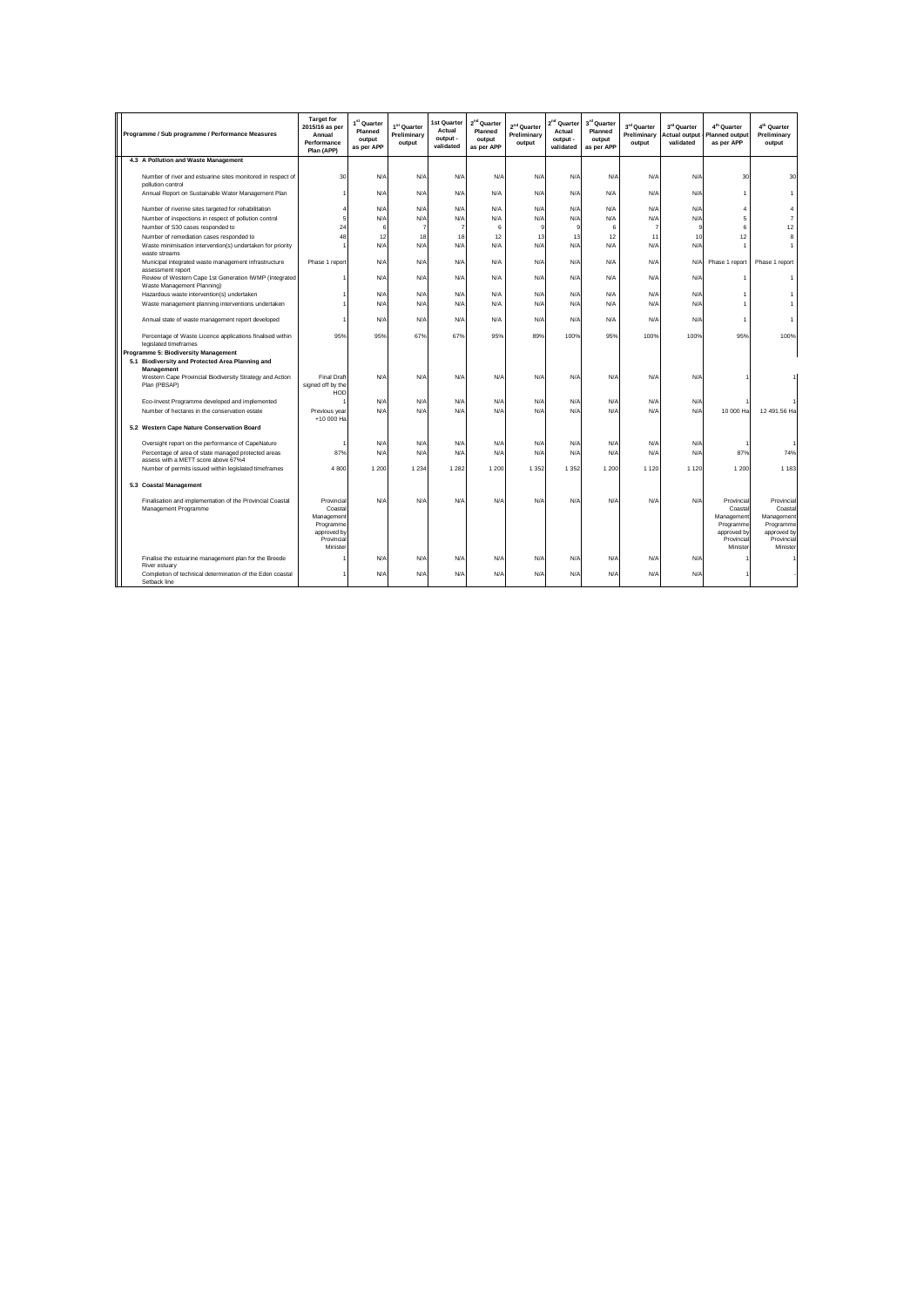| Programme / Sub programme / Performance Measures                                             | <b>Target for</b><br>2015/16 as per<br>Annual<br>Performance<br>Plan (APP)    | 1 <sup>st</sup> Quarter<br>Planned<br>output<br>as per APP | 1st Quarter<br>Preliminary<br>output | 1st Quarter<br>Actual<br>output -<br>validated | 2 <sup>nd</sup> Quarter<br>Planned<br>output<br>as per APP | 2 <sup>nd</sup> Quarter<br>Preliminary<br>output | 2 <sup>nd</sup> Quarter<br>Actual<br>output -<br>validated | 3rd Quarter<br>Planned<br>output<br>as per APP | 3rd Quarter<br>Preliminary<br>output | 3rd Quarter<br><b>Actual output</b><br>validated | 4 <sup>th</sup> Quarter<br><b>Planned output</b><br>as per APP              | 4 <sup>th</sup> Quarter<br>Preliminary<br>output                              |
|----------------------------------------------------------------------------------------------|-------------------------------------------------------------------------------|------------------------------------------------------------|--------------------------------------|------------------------------------------------|------------------------------------------------------------|--------------------------------------------------|------------------------------------------------------------|------------------------------------------------|--------------------------------------|--------------------------------------------------|-----------------------------------------------------------------------------|-------------------------------------------------------------------------------|
| 4.3 A Pollution and Waste Management                                                         |                                                                               |                                                            |                                      |                                                |                                                            |                                                  |                                                            |                                                |                                      |                                                  |                                                                             |                                                                               |
| Number of river and estuarine sites monitored in respect of<br>pollution control             | 30                                                                            | N/A                                                        | N/A                                  | N/A                                            | N/A                                                        | N/A                                              | N/A                                                        | N/A                                            | N/A                                  | N/A                                              | 30                                                                          | 30                                                                            |
| Annual Report on Sustainable Water Management Plan                                           |                                                                               | N/A                                                        | N/A                                  | N/A                                            | N/A                                                        | N/A                                              | N/A                                                        | N/A                                            | N/A                                  | N/A                                              | 1                                                                           |                                                                               |
| Number of riverine sites targeted for rehabilitation                                         | $\overline{4}$                                                                | N/A                                                        | N/A                                  | N/A                                            | N/A                                                        | N/A                                              | N/A                                                        | N/A                                            | N/A                                  | N/A                                              | 4                                                                           | $\overline{4}$                                                                |
| Number of inspections in respect of pollution control                                        | 5                                                                             | N/A                                                        | N/A                                  | N/A                                            | N/A                                                        | N/A                                              | N/A                                                        | N/A                                            | N/A                                  | N/A                                              | 5                                                                           | $\overline{7}$                                                                |
| Number of S30 cases responded to                                                             | 24                                                                            | 6                                                          | $\overline{7}$                       | $\overline{7}$                                 | 6                                                          | 9                                                | g                                                          | 6                                              | $\overline{7}$                       | 9                                                | 6                                                                           | 12                                                                            |
| Number of remediation cases responded to                                                     | 48                                                                            | 12                                                         | 18                                   | 18                                             | 12                                                         | 13                                               | 13                                                         | 12                                             | 11                                   | 10                                               | 12                                                                          | 8                                                                             |
| Waste minimisation intervention(s) undertaken for priority<br>waste streams                  |                                                                               | N/A                                                        | N/A                                  | N/A                                            | N/A                                                        | N/A                                              | N/A                                                        | N/A                                            | N/A                                  | N/A                                              | ۸                                                                           |                                                                               |
| Municipal integrated waste management infrastructure<br>assessment report                    | Phase 1 report                                                                | N/A                                                        | N/A                                  | N/A                                            | N/A                                                        | N/A                                              | N/A                                                        | N/A                                            | N/A                                  | <b>N/A</b>                                       | Phase 1 report                                                              | Phase 1 report                                                                |
| Review of Western Cape 1st Generation IWMP (Integrated<br>Waste Management Planning)         |                                                                               | N/A                                                        | N/A                                  | N/A                                            | N/A                                                        | N/A                                              | N/A                                                        | N/A                                            | N/A                                  | N/A                                              | 1                                                                           | -1                                                                            |
| Hazardous waste intervention(s) undertaken                                                   |                                                                               | N/A                                                        | N/A                                  | N/A                                            | N/A                                                        | N/A                                              | N/A                                                        | N/A                                            | N/A                                  | N/A                                              | 1                                                                           |                                                                               |
| Waste management planning interventions undertaken                                           |                                                                               | N/A                                                        | N/A                                  | N/A                                            | N/A                                                        | N/A                                              | N/A                                                        | N/A                                            | N/A                                  | N/A                                              | 1                                                                           |                                                                               |
| Annual state of waste management report developed                                            |                                                                               | N/A                                                        | N/A                                  | N/A                                            | N/A                                                        | N/A                                              | N/A                                                        | N/A                                            | N/A                                  | N/A                                              | 1                                                                           | 1                                                                             |
| Percentage of Waste Licence applications finalised within<br>legislated timeframes           | 95%                                                                           | 95%                                                        | 67%                                  | 67%                                            | 95%                                                        | 89%                                              | 100%                                                       | 95%                                            | 100%                                 | 100%                                             | 95%                                                                         | 100%                                                                          |
| Programme 5: Biodiversity Management                                                         |                                                                               |                                                            |                                      |                                                |                                                            |                                                  |                                                            |                                                |                                      |                                                  |                                                                             |                                                                               |
| 5.1 Biodiversity and Protected Area Planning and<br>Management                               |                                                                               |                                                            |                                      |                                                |                                                            |                                                  |                                                            |                                                |                                      |                                                  |                                                                             |                                                                               |
| Western Cape Provincial Biodiversity Strategy and Action<br>Plan (PBSAP)                     | <b>Final Draft</b><br>signed off by the<br>HOD                                | N/A                                                        | N/A                                  | N/A                                            | N/A                                                        | N/A                                              | N/A                                                        | N/A                                            | N/A                                  | N/A                                              |                                                                             |                                                                               |
| Eco-Invest Programme developed and implemented                                               |                                                                               | N/A                                                        | N/A                                  | N/A                                            | N/A                                                        | N/A                                              | N/A                                                        | N/A                                            | N/A                                  | N/A                                              |                                                                             |                                                                               |
| Number of hectares in the conservation estate                                                | Previous year<br>+10 000 Ha                                                   | N/A                                                        | N/A                                  | N/A                                            | N/A                                                        | N/A                                              | N/A                                                        | N/A                                            | N/A                                  | N/A                                              | 10 000 Ha                                                                   | 12 491.56 Ha                                                                  |
| 5.2 Western Cape Nature Conservation Board                                                   |                                                                               |                                                            |                                      |                                                |                                                            |                                                  |                                                            |                                                |                                      |                                                  |                                                                             |                                                                               |
| Oversight report on the performance of CapeNature                                            |                                                                               | N/A                                                        | N/A                                  | N/A                                            | N/A                                                        | N/A                                              | N/A                                                        | N/A                                            | N/A                                  | N/A                                              |                                                                             |                                                                               |
| Percentage of area of state managed protected areas                                          | 87%                                                                           | N/A                                                        | $N/\rho$                             | N/A                                            | N/A                                                        | N/A                                              | N/A                                                        | N/A                                            | N/A                                  | N/A                                              | 87%                                                                         | 74%                                                                           |
| assess with a METT score above 67%4<br>Number of permits issued within legislated timeframes | 4800                                                                          | 1 200                                                      | 1 2 3 4                              | 1 2 8 2                                        | 1 2 0 0                                                    | 1 3 5 2                                          | 1 3 5 2                                                    | 1 200                                          | 1 1 2 0                              | 1 1 2 0                                          | 1 2 0 0                                                                     | 1 1 8 3                                                                       |
| 5.3 Coastal Management                                                                       |                                                                               |                                                            |                                      |                                                |                                                            |                                                  |                                                            |                                                |                                      |                                                  |                                                                             |                                                                               |
|                                                                                              |                                                                               |                                                            |                                      |                                                |                                                            |                                                  |                                                            |                                                |                                      |                                                  |                                                                             |                                                                               |
| Finalisation and implementation of the Provincial Coastal<br>Management Programme            | Provincial<br>Coastal<br>Management<br>Programme<br>approved by<br>Provincial | N/A                                                        | N/A                                  | N/A                                            | N/A                                                        | N/A                                              | N/A                                                        | N/A                                            | N/A                                  | N/A                                              | Provincial<br>Coasta<br>Management<br>Programme<br>approved by<br>Provincia | Provincial<br>Coastal<br>Management<br>Programme<br>approved by<br>Provincial |
|                                                                                              | Minister                                                                      |                                                            |                                      |                                                |                                                            |                                                  |                                                            |                                                |                                      |                                                  | Minister                                                                    | Minister                                                                      |
| Finalise the estuarine management plan for the Breede<br>River estuary                       |                                                                               | N/A                                                        | N/A                                  | N/A                                            | N/A                                                        | N/A                                              | N/A                                                        | N/A                                            | N/A                                  | N/A                                              |                                                                             |                                                                               |
| Completion of technical determination of the Eden coastal<br>Setback line                    |                                                                               | N/A                                                        | N/A                                  | N/A                                            | N/A                                                        | N/A                                              | N/A                                                        | N/A                                            | N/A                                  | N/A                                              |                                                                             |                                                                               |